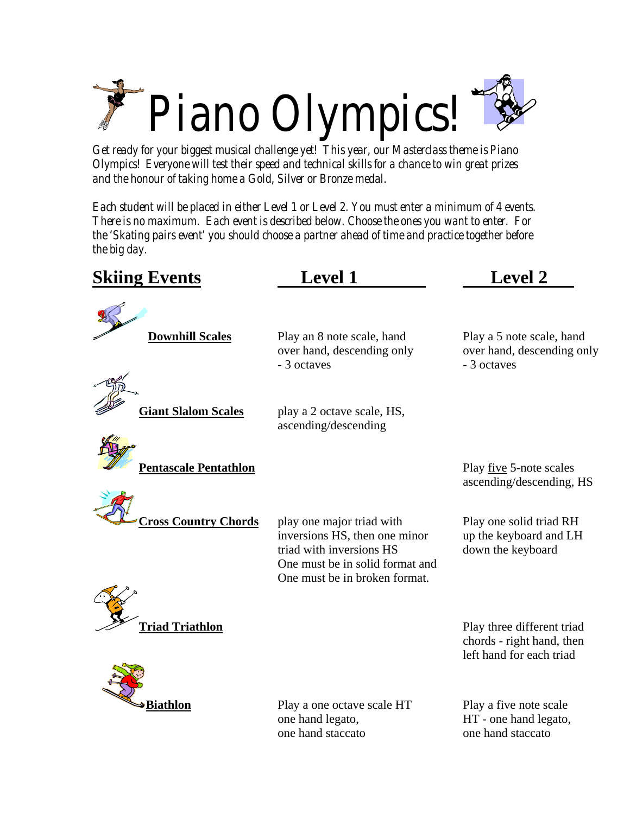

*Get ready for your biggest musical challenge yet! This year, our Masterclass theme is Piano Olympics! Everyone will test their speed and technical skills for a chance to win great prizes and the honour of taking home a Gold, Silver or Bronze medal.* 

*Each student will be placed in either Level 1 or Level 2. You must enter a minimum of 4 events. There is no maximum. Each event is described below. Choose the ones you want to enter. For the 'Skating pairs event' you should choose a partner ahead of time and practice together before the big day.*

| <b>Skiing Events</b>         | <b>Level 1</b>                                                          | <b>Level 2</b>                                                         |
|------------------------------|-------------------------------------------------------------------------|------------------------------------------------------------------------|
| <b>Downhill Scales</b>       | Play an 8 note scale, hand<br>over hand, descending only<br>- 3 octaves | Play a 5 note scale, hand<br>over hand, descending only<br>- 3 octaves |
| <b>Giant Slalom Scales</b>   | play a 2 octave scale, HS,<br>ascending/descending                      |                                                                        |
| <b>Pentascale Pentathlon</b> |                                                                         | Play <u>five</u> 5-note scales<br>ascending/descending, HS             |
| <b>Cross Country Chords</b>  | play one major triad with                                               | Play one solid triad RH                                                |

inversions HS, then one minor up the keyboard and LH triad with inversions HS down the keyboard One must be in solid format and One must be in broken format.



**Triad Triathlon Play three different triad** chords - right hand, then left hand for each triad

**Biathlon** Play a one octave scale HT Play a five note scale one hand legato, HT - one hand legato, one hand staccato one hand staccato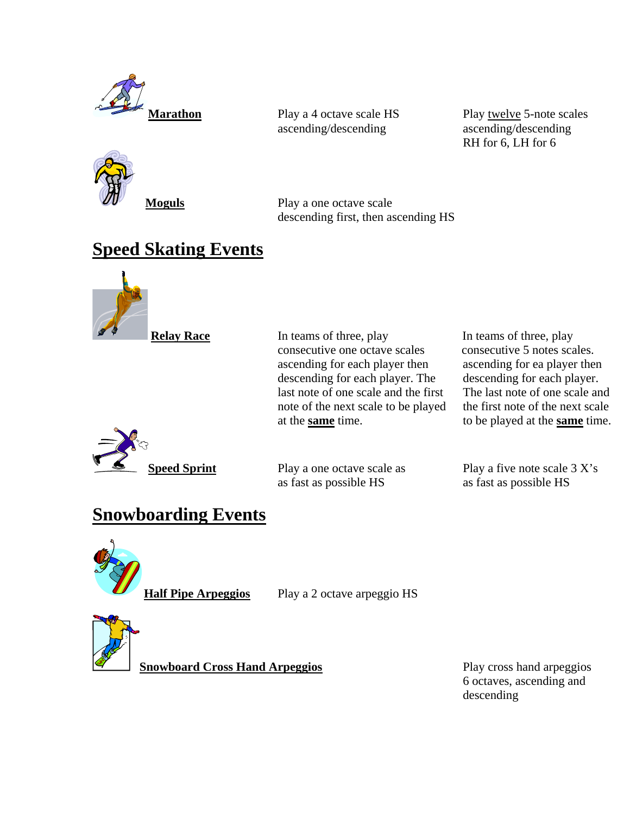



ascending/descending ascending/descending

**Marathon Play a 4 octave scale HS** Play twelve 5-note scales RH for 6, LH for 6

**Moguls** Play a one octave scale descending first, then ascending HS

## **Speed Skating Events**



**Relay Race** In teams of three, play In teams of three, play consecutive one octave scales consecutive 5 notes scales. ascending for each player then ascending for ea player then descending for each player. The descending for each player. last note of one scale and the first The last note of one scale and note of the next scale to be played the first note of the next scale at the **same** time. to be played at the **same** time.



as fast as possible HS as fast as possible HS

**Speed Sprint** Play a one octave scale as Play a five note scale 3 X's

## **Snowboarding Events**



**Half Pipe Arpeggios** Play a 2 octave arpeggio HS



**Snowboard Cross Hand Arpeggios** Play cross hand arpeggios

6 octaves, ascending and descending